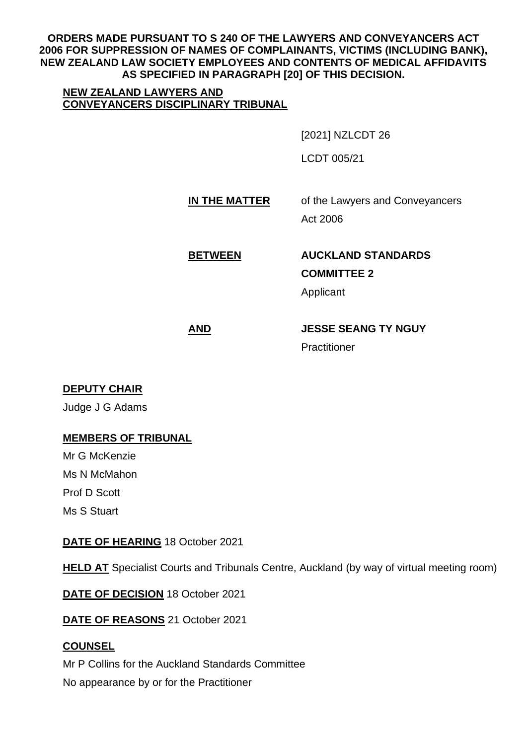**ORDERS MADE PURSUANT TO S 240 OF THE LAWYERS AND CONVEYANCERS ACT 2006 FOR SUPPRESSION OF NAMES OF COMPLAINANTS, VICTIMS (INCLUDING BANK), NEW ZEALAND LAW SOCIETY EMPLOYEES AND CONTENTS OF MEDICAL AFFIDAVITS AS SPECIFIED IN PARAGRAPH [20] OF THIS DECISION.** 

### **NEW ZEALAND LAWYERS AND CONVEYANCERS DISCIPLINARY TRIBUNAL**

[2021] NZLCDT 26

LCDT 005/21

# **IN THE MATTER** of the Lawyers and Conveyancers Act 2006

**BETWEEN AUCKLAND STANDARDS COMMITTEE 2**

Applicant

**AND JESSE SEANG TY NGUY**

Practitioner

### **DEPUTY CHAIR**

Judge J G Adams

### **MEMBERS OF TRIBUNAL**

Mr G McKenzie Ms N McMahon Prof D Scott Ms S Stuart

### **DATE OF HEARING** 18 October 2021

**HELD AT** Specialist Courts and Tribunals Centre, Auckland (by way of virtual meeting room)

**DATE OF DECISION** 18 October 2021

**DATE OF REASONS** 21 October 2021

### **COUNSEL**

Mr P Collins for the Auckland Standards Committee No appearance by or for the Practitioner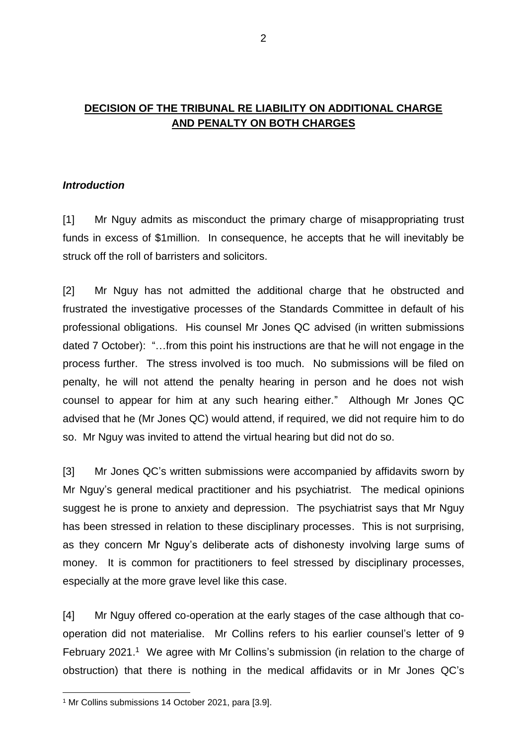## **DECISION OF THE TRIBUNAL RE LIABILITY ON ADDITIONAL CHARGE AND PENALTY ON BOTH CHARGES**

### *Introduction*

[1] Mr Nguy admits as misconduct the primary charge of misappropriating trust funds in excess of \$1million. In consequence, he accepts that he will inevitably be struck off the roll of barristers and solicitors.

[2] Mr Nguy has not admitted the additional charge that he obstructed and frustrated the investigative processes of the Standards Committee in default of his professional obligations. His counsel Mr Jones QC advised (in written submissions dated 7 October): "…from this point his instructions are that he will not engage in the process further. The stress involved is too much. No submissions will be filed on penalty, he will not attend the penalty hearing in person and he does not wish counsel to appear for him at any such hearing either." Although Mr Jones QC advised that he (Mr Jones QC) would attend, if required, we did not require him to do so. Mr Nguy was invited to attend the virtual hearing but did not do so.

[3] Mr Jones QC's written submissions were accompanied by affidavits sworn by Mr Nguy's general medical practitioner and his psychiatrist. The medical opinions suggest he is prone to anxiety and depression. The psychiatrist says that Mr Nguy has been stressed in relation to these disciplinary processes. This is not surprising, as they concern Mr Nguy's deliberate acts of dishonesty involving large sums of money. It is common for practitioners to feel stressed by disciplinary processes, especially at the more grave level like this case.

[4] Mr Nguy offered co-operation at the early stages of the case although that cooperation did not materialise. Mr Collins refers to his earlier counsel's letter of 9 February 2021.<sup>1</sup> We agree with Mr Collins's submission (in relation to the charge of obstruction) that there is nothing in the medical affidavits or in Mr Jones QC's

<sup>1</sup> Mr Collins submissions 14 October 2021, para [3.9].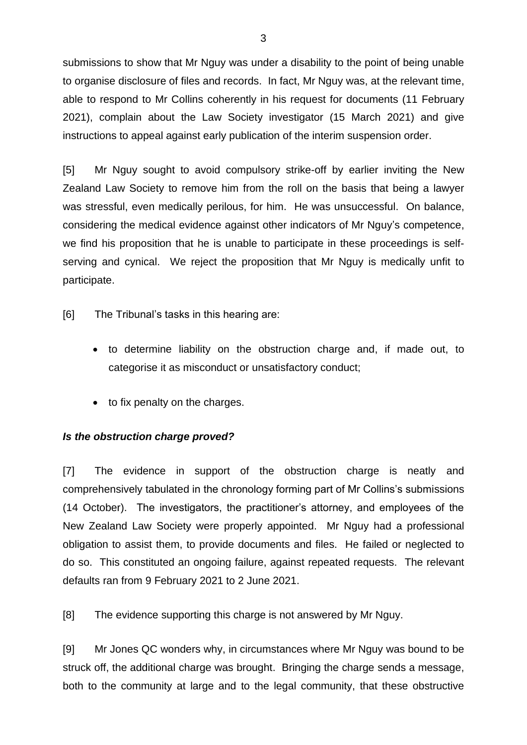submissions to show that Mr Nguy was under a disability to the point of being unable to organise disclosure of files and records. In fact, Mr Nguy was, at the relevant time, able to respond to Mr Collins coherently in his request for documents (11 February 2021), complain about the Law Society investigator (15 March 2021) and give instructions to appeal against early publication of the interim suspension order.

[5] Mr Nguy sought to avoid compulsory strike-off by earlier inviting the New Zealand Law Society to remove him from the roll on the basis that being a lawyer was stressful, even medically perilous, for him. He was unsuccessful. On balance, considering the medical evidence against other indicators of Mr Nguy's competence, we find his proposition that he is unable to participate in these proceedings is selfserving and cynical. We reject the proposition that Mr Nguy is medically unfit to participate.

[6] The Tribunal's tasks in this hearing are:

- to determine liability on the obstruction charge and, if made out, to categorise it as misconduct or unsatisfactory conduct;
- to fix penalty on the charges.

### *Is the obstruction charge proved?*

[7] The evidence in support of the obstruction charge is neatly and comprehensively tabulated in the chronology forming part of Mr Collins's submissions (14 October). The investigators, the practitioner's attorney, and employees of the New Zealand Law Society were properly appointed. Mr Nguy had a professional obligation to assist them, to provide documents and files. He failed or neglected to do so. This constituted an ongoing failure, against repeated requests. The relevant defaults ran from 9 February 2021 to 2 June 2021.

[8] The evidence supporting this charge is not answered by Mr Nguy.

[9] Mr Jones QC wonders why, in circumstances where Mr Nguy was bound to be struck off, the additional charge was brought. Bringing the charge sends a message, both to the community at large and to the legal community, that these obstructive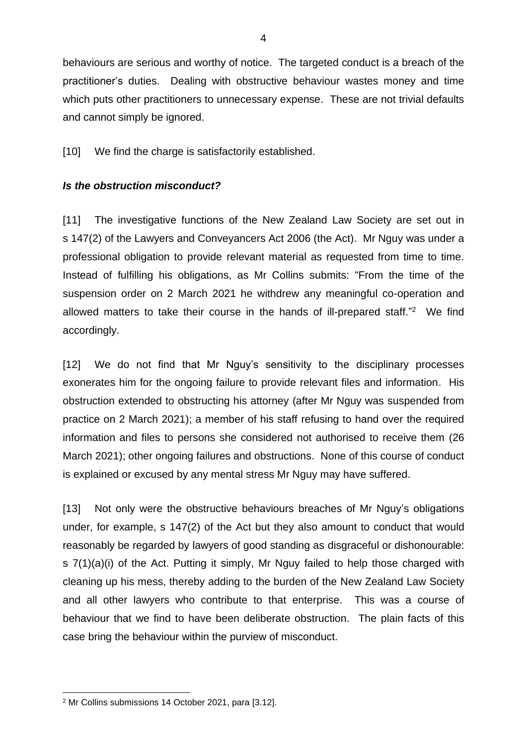behaviours are serious and worthy of notice. The targeted conduct is a breach of the practitioner's duties. Dealing with obstructive behaviour wastes money and time which puts other practitioners to unnecessary expense. These are not trivial defaults and cannot simply be ignored.

[10] We find the charge is satisfactorily established.

### *Is the obstruction misconduct?*

[11] The investigative functions of the New Zealand Law Society are set out in s 147(2) of the Lawyers and Conveyancers Act 2006 (the Act). Mr Nguy was under a professional obligation to provide relevant material as requested from time to time. Instead of fulfilling his obligations, as Mr Collins submits: "From the time of the suspension order on 2 March 2021 he withdrew any meaningful co-operation and allowed matters to take their course in the hands of ill-prepared staff." <sup>2</sup> We find accordingly.

[12] We do not find that Mr Nguy's sensitivity to the disciplinary processes exonerates him for the ongoing failure to provide relevant files and information. His obstruction extended to obstructing his attorney (after Mr Nguy was suspended from practice on 2 March 2021); a member of his staff refusing to hand over the required information and files to persons she considered not authorised to receive them (26 March 2021); other ongoing failures and obstructions. None of this course of conduct is explained or excused by any mental stress Mr Nguy may have suffered.

[13] Not only were the obstructive behaviours breaches of Mr Nguy's obligations under, for example, s 147(2) of the Act but they also amount to conduct that would reasonably be regarded by lawyers of good standing as disgraceful or dishonourable: s 7(1)(a)(i) of the Act. Putting it simply, Mr Nguy failed to help those charged with cleaning up his mess, thereby adding to the burden of the New Zealand Law Society and all other lawyers who contribute to that enterprise. This was a course of behaviour that we find to have been deliberate obstruction. The plain facts of this case bring the behaviour within the purview of misconduct.

<sup>2</sup> Mr Collins submissions 14 October 2021, para [3.12].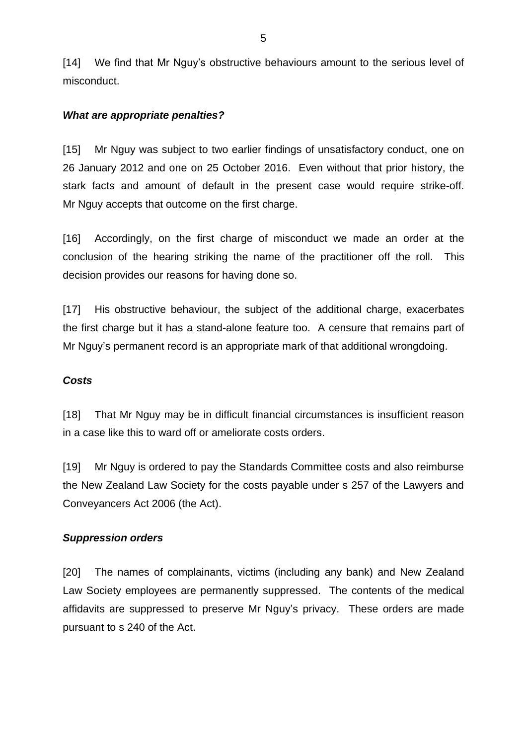[14] We find that Mr Nguy's obstructive behaviours amount to the serious level of misconduct.

#### *What are appropriate penalties?*

[15] Mr Nguy was subject to two earlier findings of unsatisfactory conduct, one on 26 January 2012 and one on 25 October 2016. Even without that prior history, the stark facts and amount of default in the present case would require strike-off. Mr Nguy accepts that outcome on the first charge.

[16] Accordingly, on the first charge of misconduct we made an order at the conclusion of the hearing striking the name of the practitioner off the roll. This decision provides our reasons for having done so.

[17] His obstructive behaviour, the subject of the additional charge, exacerbates the first charge but it has a stand-alone feature too. A censure that remains part of Mr Nguy's permanent record is an appropriate mark of that additional wrongdoing.

### *Costs*

[18] That Mr Nguy may be in difficult financial circumstances is insufficient reason in a case like this to ward off or ameliorate costs orders.

[19] Mr Nguy is ordered to pay the Standards Committee costs and also reimburse the New Zealand Law Society for the costs payable under s 257 of the Lawyers and Conveyancers Act 2006 (the Act).

#### *Suppression orders*

[20] The names of complainants, victims (including any bank) and New Zealand Law Society employees are permanently suppressed. The contents of the medical affidavits are suppressed to preserve Mr Nguy's privacy. These orders are made pursuant to s 240 of the Act.